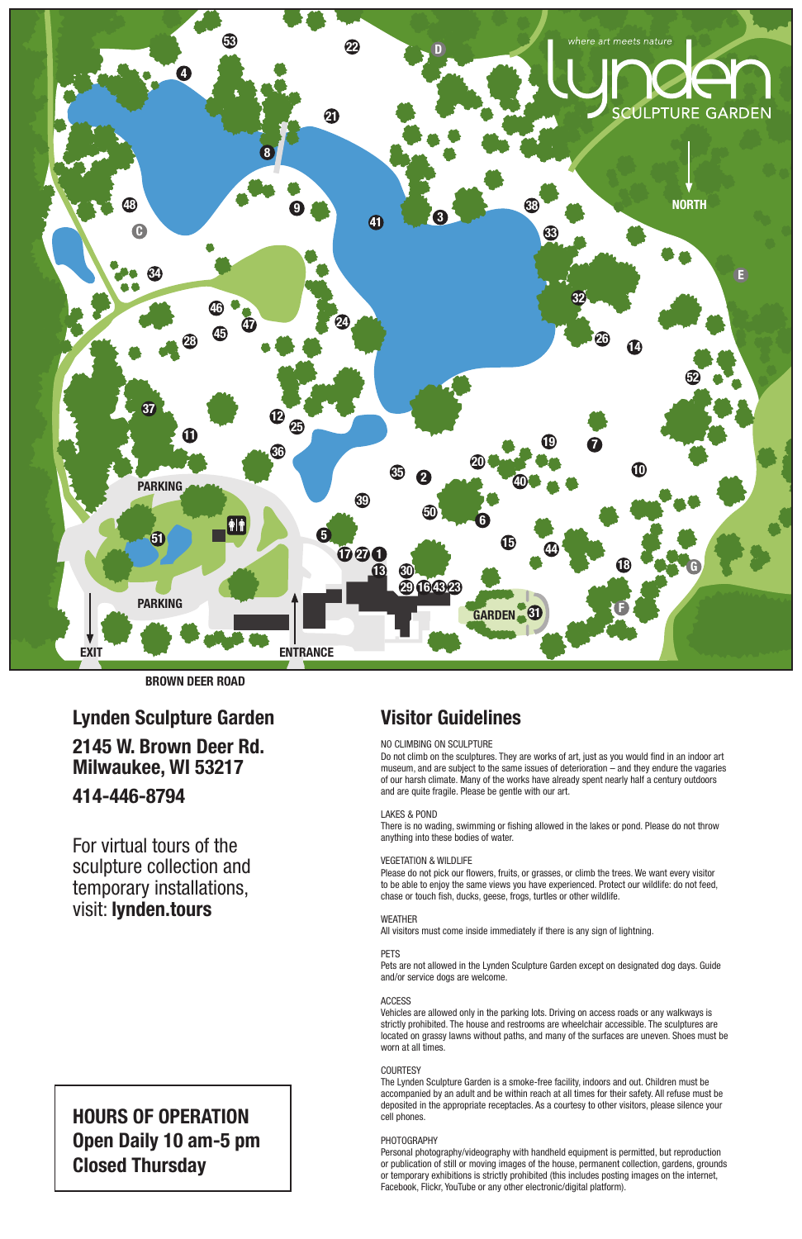

BROWN DEER ROAD

# HOURS OF OPERATION Open Daily 10 am-5 pm Closed Thursday

## Visitor Guidelines

### NO CLIMBING ON SCULPTURE

Do not climb on the sculptures. They are works of art, just as you would find in an indoor art museum, and are subject to the same issues of deterioration – and they endure the vagaries of our harsh climate. Many of the works have already spent nearly half a century outdoors and are quite fragile. Please be gentle with our art.

#### LAKES & POND

There is no wading, swimming or fishing allowed in the lakes or pond. Please do not throw anything into these bodies of water.

#### VEGETATION & WILDLIFE

Please do not pick our flowers, fruits, or grasses, or climb the trees. We want every visitor to be able to enjoy the same views you have experienced. Protect our wildlife: do not feed, chase or touch fish, ducks, geese, frogs, turtles or other wildlife.

#### WEATHER

All visitors must come inside immediately if there is any sign of lightning.

#### PETS

Pets are not allowed in the Lynden Sculpture Garden except on designated dog days. Guide and/or service dogs are welcome.

#### ACCESS

Vehicles are allowed only in the parking lots. Driving on access roads or any walkways is strictly prohibited. The house and restrooms are wheelchair accessible. The sculptures are located on grassy lawns without paths, and many of the surfaces are uneven. Shoes must be worn at all times.

#### **COURTESY**

The Lynden Sculpture Garden is a smoke-free facility, indoors and out. Children must be accompanied by an adult and be within reach at all times for their safety. All refuse must be deposited in the appropriate receptacles. As a courtesy to other visitors, please silence your cell phones.

#### PHOTOGRAPHY

Personal photography/videography with handheld equipment is permitted, but reproduction or publication of still or moving images of the house, permanent collection, gardens, grounds or temporary exhibitions is strictly prohibited (this includes posting images on the internet, Facebook, Flickr, YouTube or any other electronic/digital platform).

Lynden Sculpture Garden 2145 W. Brown Deer Rd. Milwaukee, WI 53217 414-446-8794

For virtual tours of the sculpture collection and temporary installations, visit: lynden.tours